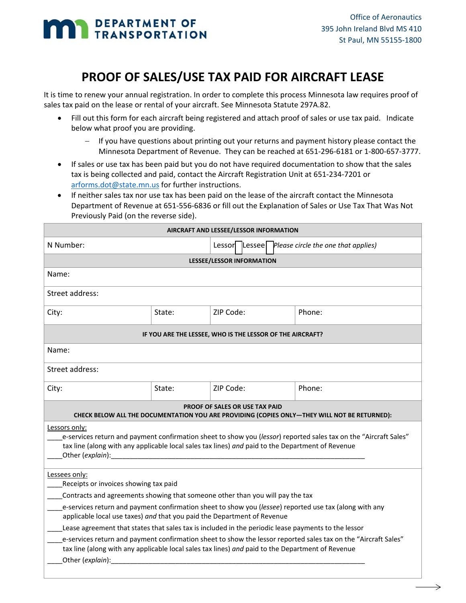## **MAN** DEPARTMENT OF

## **PROOF OF SALES/USE TAX PAID FOR AIRCRAFT LEASE**

It is time to renew your annual registration. In order to complete this process Minnesota law requires proof of sales tax paid on the lease or rental of your aircraft. See Minnesota Statute 297A.82.

- Fill out this form for each aircraft being registered and attach proof of sales or use tax paid. Indicate below what proof you are providing.
	- If you have questions about printing out your returns and payment history please contact the Minnesota Department of Revenue. They can be reached at 651‐296‐6181 or 1‐800‐657‐3777.
- If sales or use tax has been paid but you do not have required documentation to show that the sales tax is being collected and paid, contact the Aircraft Registration Unit at 651‐234‐7201 or arforms.dot@state.mn.us for further instructions.
- If neither sales tax nor use tax has been paid on the lease of the aircraft contact the Minnesota Department of Revenue at 651‐556‐6836 or fill out the Explanation of Sales or Use Tax That Was Not Previously Paid (on the reverse side).

| AIRCRAFT AND LESSEE/LESSOR INFORMATION                                                                                                                                                                                                                             |        |           |  |  |                                                       |  |
|--------------------------------------------------------------------------------------------------------------------------------------------------------------------------------------------------------------------------------------------------------------------|--------|-----------|--|--|-------------------------------------------------------|--|
| N Number:                                                                                                                                                                                                                                                          |        |           |  |  | Lessor   Lessee   Please circle the one that applies) |  |
| LESSEE/LESSOR INFORMATION                                                                                                                                                                                                                                          |        |           |  |  |                                                       |  |
| Name:                                                                                                                                                                                                                                                              |        |           |  |  |                                                       |  |
| Street address:                                                                                                                                                                                                                                                    |        |           |  |  |                                                       |  |
| City:                                                                                                                                                                                                                                                              | State: | ZIP Code: |  |  | Phone:                                                |  |
| IF YOU ARE THE LESSEE, WHO IS THE LESSOR OF THE AIRCRAFT?                                                                                                                                                                                                          |        |           |  |  |                                                       |  |
| Name:                                                                                                                                                                                                                                                              |        |           |  |  |                                                       |  |
| Street address:                                                                                                                                                                                                                                                    |        |           |  |  |                                                       |  |
| City:                                                                                                                                                                                                                                                              | State: | ZIP Code: |  |  | Phone:                                                |  |
| <b>PROOF OF SALES OR USE TAX PAID</b><br>CHECK BELOW ALL THE DOCUMENTATION YOU ARE PROVIDING (COPIES ONLY-THEY WILL NOT BE RETURNED):                                                                                                                              |        |           |  |  |                                                       |  |
| Lessors only:<br>e-services return and payment confirmation sheet to show you (lessor) reported sales tax on the "Aircraft Sales"<br>tax line (along with any applicable local sales tax lines) and paid to the Department of Revenue<br>Other ( <i>explain</i> ): |        |           |  |  |                                                       |  |
| Lessees only:<br>Receipts or invoices showing tax paid<br>Contracts and agreements showing that someone other than you will pay the tax                                                                                                                            |        |           |  |  |                                                       |  |
| e-services return and payment confirmation sheet to show you (lessee) reported use tax (along with any<br>applicable local use taxes) and that you paid the Department of Revenue                                                                                  |        |           |  |  |                                                       |  |
| Lease agreement that states that sales tax is included in the periodic lease payments to the lessor                                                                                                                                                                |        |           |  |  |                                                       |  |
| e-services return and payment confirmation sheet to show the lessor reported sales tax on the "Aircraft Sales"<br>tax line (along with any applicable local sales tax lines) and paid to the Department of Revenue<br>Other (explain):                             |        |           |  |  |                                                       |  |
|                                                                                                                                                                                                                                                                    |        |           |  |  |                                                       |  |